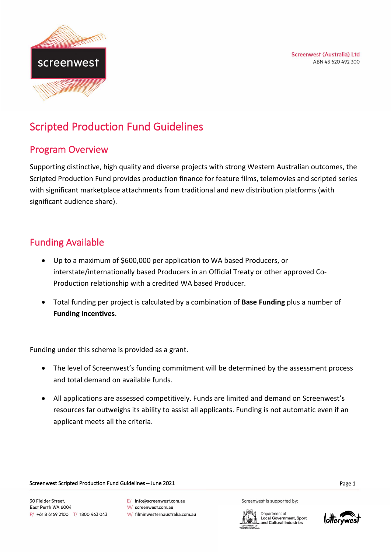**Screenwest (Australia) Ltd** ABN 43 620 492 300



# Scripted Production Fund Guidelines

### Program Overview

Supporting distinctive, high quality and diverse projects with strong Western Australian outcomes, the Scripted Production Fund provides production finance for feature films, telemovies and scripted series with significant marketplace attachments from traditional and new distribution platforms (with significant audience share).

# Funding Available

- Up to a maximum of \$600,000 per application to WA based Producers, or interstate/internationally based Producers in an Official Treaty or other approved Co-Production relationship with a credited WA based Producer.
- Total funding per project is calculated by a combination of **Base Funding** plus a number of **Funding Incentives**.

Funding under this scheme is provided as a grant.

- The level of Screenwest's funding commitment will be determined by the assessment process and total demand on available funds.
- All applications are assessed competitively. Funds are limited and demand on Screenwest's resources far outweighs its ability to assist all applicants. Funding is not automatic even if an applicant meets all the criteria.

Screenwest Scripted Production Fund Guidelines – June 2021 **Page 1** Page 1

30 Fielder Street. East Perth WA 6004 P/ +618 6169 2100 T/ 1800 463 043 E/ info@screenwest.com.au

W/ screenwest.com.au

W/ filminwesternaustralia.com.au

Screenwest is supported by:

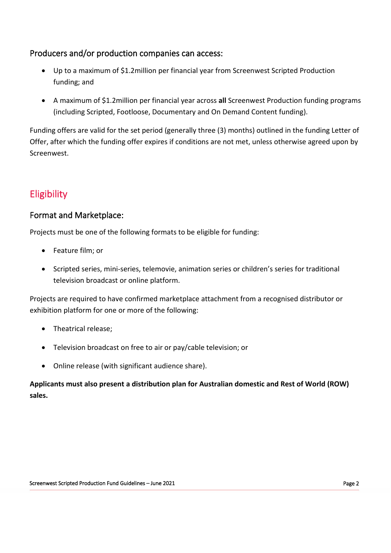#### Producers and/or production companies can access:

- Up to a maximum of \$1.2million per financial year from Screenwest Scripted Production funding; and
- A maximum of \$1.2million per financial year across **all** Screenwest Production funding programs (including Scripted, Footloose, Documentary and On Demand Content funding).

Funding offers are valid for the set period (generally three (3) months) outlined in the funding Letter of Offer, after which the funding offer expires if conditions are not met, unless otherwise agreed upon by Screenwest.

# Eligibility

#### Format and Marketplace:

Projects must be one of the following formats to be eligible for funding:

- Feature film; or
- Scripted series, mini-series, telemovie, animation series or children's series for traditional television broadcast or online platform.

Projects are required to have confirmed marketplace attachment from a recognised distributor or exhibition platform for one or more of the following:

- Theatrical release;
- Television broadcast on free to air or pay/cable television; or
- Online release (with significant audience share).

**Applicants must also present a distribution plan for Australian domestic and Rest of World (ROW) sales.**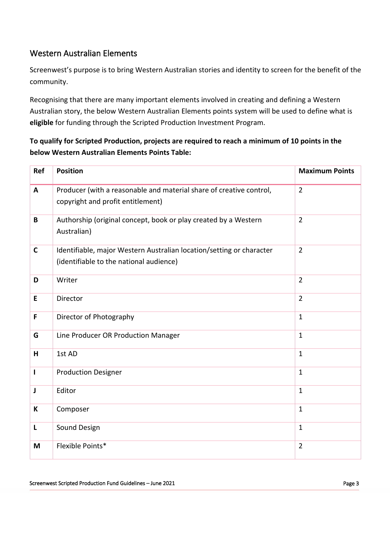#### Western Australian Elements

Screenwest's purpose is to bring Western Australian stories and identity to screen for the benefit of the community.

Recognising that there are many important elements involved in creating and defining a Western Australian story, the below Western Australian Elements points system will be used to define what is **eligible** for funding through the Scripted Production Investment Program.

#### **To qualify for Scripted Production, projects are required to reach a minimum of 10 points in the below Western Australian Elements Points Table:**

| <b>Ref</b>   | <b>Position</b>                                                                                                 | <b>Maximum Points</b> |
|--------------|-----------------------------------------------------------------------------------------------------------------|-----------------------|
| A            | Producer (with a reasonable and material share of creative control,<br>copyright and profit entitlement)        | $\overline{2}$        |
| $\mathbf B$  | Authorship (original concept, book or play created by a Western<br>Australian)                                  | $\overline{2}$        |
| $\mathbf C$  | Identifiable, major Western Australian location/setting or character<br>(identifiable to the national audience) | $\overline{2}$        |
| D            | Writer                                                                                                          | $\overline{2}$        |
| E            | Director                                                                                                        | $\overline{2}$        |
| F            | Director of Photography                                                                                         | $\mathbf{1}$          |
| G            | Line Producer OR Production Manager                                                                             | $\mathbf{1}$          |
| H            | 1st AD                                                                                                          | $\mathbf{1}$          |
| $\mathbf{I}$ | <b>Production Designer</b>                                                                                      | $\mathbf{1}$          |
| J            | Editor                                                                                                          | $\mathbf{1}$          |
| K            | Composer                                                                                                        | $\mathbf{1}$          |
| L            | Sound Design                                                                                                    | $\mathbf{1}$          |
| M            | Flexible Points*                                                                                                | $\overline{2}$        |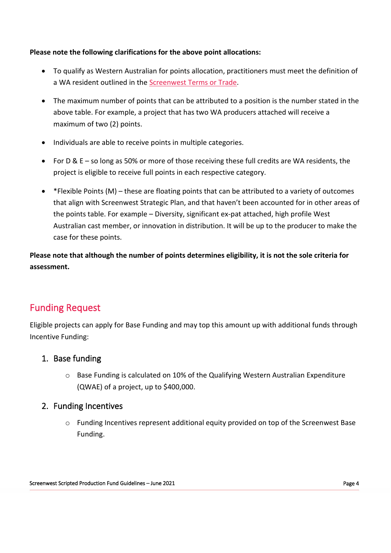#### **Please note the following clarifications for the above point allocations:**

- To qualify as Western Australian for points allocation, practitioners must meet the definition of a WA resident outlined in the [Screenwest Terms or Trade.](https://www.screenwest.com.au/about/publications/)
- The maximum number of points that can be attributed to a position is the number stated in the above table. For example, a project that has two WA producers attached will receive a maximum of two (2) points.
- Individuals are able to receive points in multiple categories.
- For D & E so long as 50% or more of those receiving these full credits are WA residents, the project is eligible to receive full points in each respective category.
- \*Flexible Points (M) these are floating points that can be attributed to a variety of outcomes that align with Screenwest Strategic Plan, and that haven't been accounted for in other areas of the points table. For example – Diversity, significant ex-pat attached, high profile West Australian cast member, or innovation in distribution. It will be up to the producer to make the case for these points.

**Please note that although the number of points determines eligibility, it is not the sole criteria for assessment.**

# Funding Request

Eligible projects can apply for Base Funding and may top this amount up with additional funds through Incentive Funding:

#### 1. Base funding

o Base Funding is calculated on 10% of the Qualifying Western Australian Expenditure (QWAE) of a project, up to \$400,000.

#### 2. Funding Incentives

o Funding Incentives represent additional equity provided on top of the Screenwest Base Funding.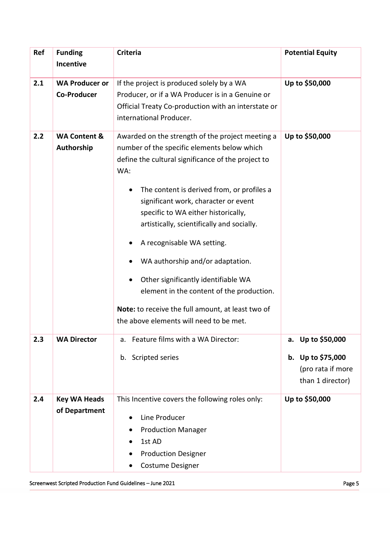| Ref | <b>Funding</b><br>Incentive                 | <b>Criteria</b>                                                                                                                                                                                                                                                                                                                                                                                                                                                                                                                                                                               | <b>Potential Equity</b>                                                            |
|-----|---------------------------------------------|-----------------------------------------------------------------------------------------------------------------------------------------------------------------------------------------------------------------------------------------------------------------------------------------------------------------------------------------------------------------------------------------------------------------------------------------------------------------------------------------------------------------------------------------------------------------------------------------------|------------------------------------------------------------------------------------|
| 2.1 | <b>WA Producer or</b><br><b>Co-Producer</b> | If the project is produced solely by a WA<br>Producer, or if a WA Producer is in a Genuine or<br>Official Treaty Co-production with an interstate or<br>international Producer.                                                                                                                                                                                                                                                                                                                                                                                                               | Up to \$50,000                                                                     |
| 2.2 | <b>WA Content &amp;</b><br>Authorship       | Awarded on the strength of the project meeting a<br>number of the specific elements below which<br>define the cultural significance of the project to<br>WA:<br>The content is derived from, or profiles a<br>significant work, character or event<br>specific to WA either historically,<br>artistically, scientifically and socially.<br>A recognisable WA setting.<br>WA authorship and/or adaptation.<br>Other significantly identifiable WA<br>element in the content of the production.<br>Note: to receive the full amount, at least two of<br>the above elements will need to be met. | Up to \$50,000                                                                     |
| 2.3 | <b>WA Director</b>                          | Feature films with a WA Director:<br>a.<br>Scripted series<br>b.                                                                                                                                                                                                                                                                                                                                                                                                                                                                                                                              | Up to \$50,000<br>а.<br>b. Up to \$75,000<br>(pro rata if more<br>than 1 director) |
| 2.4 | <b>Key WA Heads</b><br>of Department        | This Incentive covers the following roles only:<br>Line Producer<br><b>Production Manager</b><br>1st AD<br><b>Production Designer</b><br>Costume Designer                                                                                                                                                                                                                                                                                                                                                                                                                                     | Up to \$50,000                                                                     |

Screenwest Scripted Production Fund Guidelines – June 2021 **Page 5** and Containing Page 5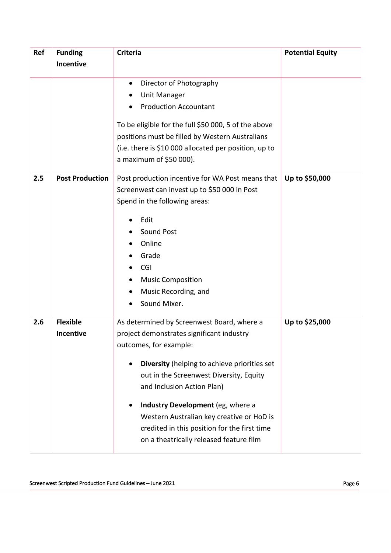| Ref | <b>Funding</b>         | <b>Criteria</b>                                       | <b>Potential Equity</b> |
|-----|------------------------|-------------------------------------------------------|-------------------------|
|     | Incentive              |                                                       |                         |
|     |                        | Director of Photography<br>$\bullet$                  |                         |
|     |                        | <b>Unit Manager</b>                                   |                         |
|     |                        | <b>Production Accountant</b>                          |                         |
|     |                        |                                                       |                         |
|     |                        | To be eligible for the full \$50 000, 5 of the above  |                         |
|     |                        | positions must be filled by Western Australians       |                         |
|     |                        | (i.e. there is \$10 000 allocated per position, up to |                         |
|     |                        | a maximum of \$50 000).                               |                         |
| 2.5 | <b>Post Production</b> | Post production incentive for WA Post means that      | Up to \$50,000          |
|     |                        | Screenwest can invest up to \$50 000 in Post          |                         |
|     |                        | Spend in the following areas:                         |                         |
|     |                        | Edit                                                  |                         |
|     |                        | Sound Post                                            |                         |
|     |                        | Online                                                |                         |
|     |                        | Grade                                                 |                         |
|     |                        | CGI                                                   |                         |
|     |                        | <b>Music Composition</b>                              |                         |
|     |                        | Music Recording, and                                  |                         |
|     |                        | Sound Mixer.                                          |                         |
| 2.6 | <b>Flexible</b>        | As determined by Screenwest Board, where a            | Up to \$25,000          |
|     | Incentive              | project demonstrates significant industry             |                         |
|     |                        | outcomes, for example:                                |                         |
|     |                        | Diversity (helping to achieve priorities set          |                         |
|     |                        | out in the Screenwest Diversity, Equity               |                         |
|     |                        | and Inclusion Action Plan)                            |                         |
|     |                        |                                                       |                         |
|     |                        | Industry Development (eg, where a                     |                         |
|     |                        | Western Australian key creative or HoD is             |                         |
|     |                        | credited in this position for the first time          |                         |
|     |                        | on a theatrically released feature film               |                         |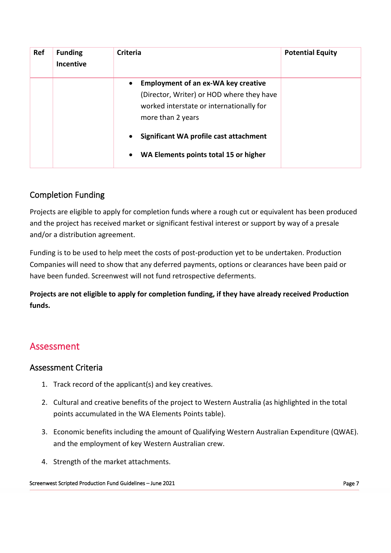| Ref | <b>Funding</b><br><b>Incentive</b> | <b>Criteria</b>                                                                                                                                                                                                                                                                    | <b>Potential Equity</b> |
|-----|------------------------------------|------------------------------------------------------------------------------------------------------------------------------------------------------------------------------------------------------------------------------------------------------------------------------------|-------------------------|
|     |                                    | <b>Employment of an ex-WA key creative</b><br>$\bullet$<br>(Director, Writer) or HOD where they have<br>worked interstate or internationally for<br>more than 2 years<br>Significant WA profile cast attachment<br>$\bullet$<br>WA Elements points total 15 or higher<br>$\bullet$ |                         |

### Completion Funding

Projects are eligible to apply for completion funds where a rough cut or equivalent has been produced and the project has received market or significant festival interest or support by way of a presale and/or a distribution agreement.

Funding is to be used to help meet the costs of post-production yet to be undertaken. Production Companies will need to show that any deferred payments, options or clearances have been paid or have been funded. Screenwest will not fund retrospective deferments.

**Projects are not eligible to apply for completion funding, if they have already received Production funds.**

# Assessment

#### Assessment Criteria

- 1. Track record of the applicant(s) and key creatives.
- 2. Cultural and creative benefits of the project to Western Australia (as highlighted in the total points accumulated in the WA Elements Points table).
- 3. Economic benefits including the amount of Qualifying Western Australian Expenditure (QWAE). and the employment of key Western Australian crew.
- 4. Strength of the market attachments.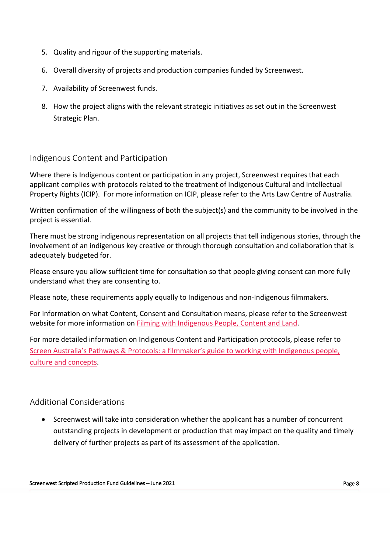- 5. Quality and rigour of the supporting materials.
- 6. Overall diversity of projects and production companies funded by Screenwest.
- 7. Availability of Screenwest funds.
- 8. How the project aligns with the relevant strategic initiatives as set out in the Screenwest Strategic Plan.

#### Indigenous Content and Participation

Where there is Indigenous content or participation in any project, Screenwest requires that each applicant complies with protocols related to the treatment of Indigenous Cultural and Intellectual Property Rights (ICIP). For more information on ICIP, please refer to the Arts Law Centre of Australia.

Written confirmation of the willingness of both the subject(s) and the community to be involved in the project is essential.

There must be strong indigenous representation on all projects that tell indigenous stories, through the involvement of an indigenous key creative or through thorough consultation and collaboration that is adequately budgeted for.

Please ensure you allow sufficient time for consultation so that people giving consent can more fully understand what they are consenting to.

Please note, these requirements apply equally to Indigenous and non-Indigenous filmmakers.

For information on what Content, Consent and Consultation means, please refer to the Screenwest website for more information on [Filming with Indigenous People, Content and Land.](https://www.screenwest.com.au/film-in-wa/film-here/indigenous/working-with-indigenous-people/)

For more detailed information on Indigenous Content and Participation protocols, please refer to [Screen Australia's Pathways & Protocols: a filmmaker's guide to working with Indigenous people,](https://www.screenaustralia.gov.au/about-us/doing-business-with-us/indigenous-content/indigenous-protocols)  [culture and concepts.](https://www.screenaustralia.gov.au/about-us/doing-business-with-us/indigenous-content/indigenous-protocols)

#### Additional Considerations

• Screenwest will take into consideration whether the applicant has a number of concurrent outstanding projects in development or production that may impact on the quality and timely delivery of further projects as part of its assessment of the application.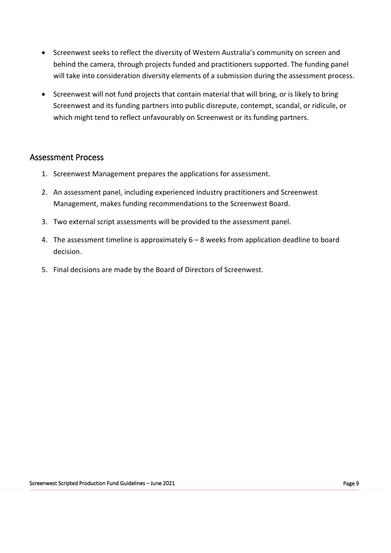- Screenwest seeks to reflect the diversity of Western Australia's community on screen and behind the camera, through projects funded and practitioners supported. The funding panel will take into consideration diversity elements of a submission during the assessment process.
- Screenwest will not fund projects that contain material that will bring, or is likely to bring Screenwest and its funding partners into public disrepute, contempt, scandal, or ridicule, or which might tend to reflect unfavourably on Screenwest or its funding partners.

#### Assessment Process

- 1. Screenwest Management prepares the applications for assessment.
- 2. An assessment panel, including experienced industry practitioners and Screenwest Management, makes funding recommendations to the Screenwest Board.
- 3. Two external script assessments will be provided to the assessment panel.
- 4. The assessment timeline is approximately 6 8 weeks from application deadline to board decision.
- 5. Final decisions are made by the Board of Directors of Screenwest.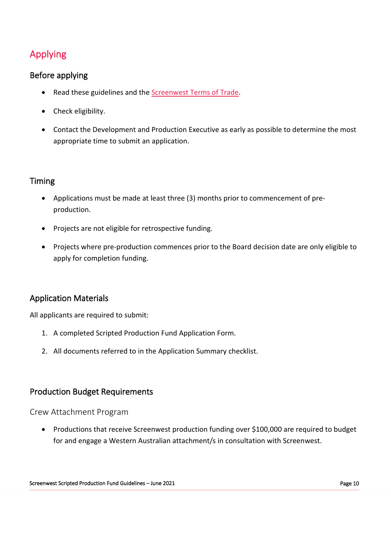# Applying

#### Before applying

- Read these guidelines and the [Screenwest Terms of Trade.](https://www.screenwest.com.au/about/publications/)
- Check eligibility.
- Contact the Development and Production Executive as early as possible to determine the most appropriate time to submit an application.

#### Timing

- Applications must be made at least three (3) months prior to commencement of preproduction.
- Projects are not eligible for retrospective funding.
- Projects where pre-production commences prior to the Board decision date are only eligible to apply for completion funding.

#### Application Materials

All applicants are required to submit:

- 1. A completed Scripted Production Fund Application Form.
- 2. All documents referred to in the Application Summary checklist.

#### Production Budget Requirements

#### Crew Attachment Program

• Productions that receive Screenwest production funding over \$100,000 are required to budget for and engage a Western Australian attachment/s in consultation with Screenwest.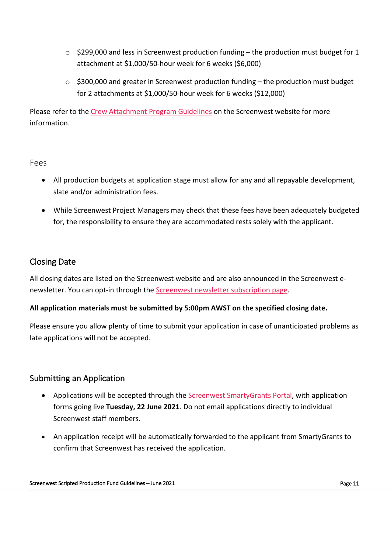- $\circ$  \$299,000 and less in Screenwest production funding the production must budget for 1 attachment at \$1,000/50-hour week for 6 weeks (\$6,000)
- o \$300,000 and greater in Screenwest production funding the production must budget for 2 attachments at \$1,000/50-hour week for 6 weeks (\$12,000)

Please refer to the [Crew Attachment Program Guidelines](https://www.screenwest.com.au/wp-content/uploads/2021/11/Screenwest-Crew-Attachment-Program-Guidelines-%E2%80%93-May-2021-m5.11.2021.pdf) on the Screenwest website for more information.

#### Fees

- All production budgets at application stage must allow for any and all repayable development, slate and/or administration fees.
- While Screenwest Project Managers may check that these fees have been adequately budgeted for, the responsibility to ensure they are accommodated rests solely with the applicant.

#### Closing Date

All closing dates are listed on the Screenwest website and are also announced in the Screenwest enewsletter. You can opt-in through the **Screenwest newsletter subscription page**.

#### **All application materials must be submitted by 5:00pm AWST on the specified closing date.**

Please ensure you allow plenty of time to submit your application in case of unanticipated problems as late applications will not be accepted.

#### Submitting an Application

- Applications will be accepted through th[e Screenwest SmartyGrants Portal,](https://screenwest.smartygrants.com.au/) with application forms going live **Tuesday, 22 June 2021**. Do not email applications directly to individual Screenwest staff members.
- An application receipt will be automatically forwarded to the applicant from SmartyGrants to confirm that Screenwest has received the application.